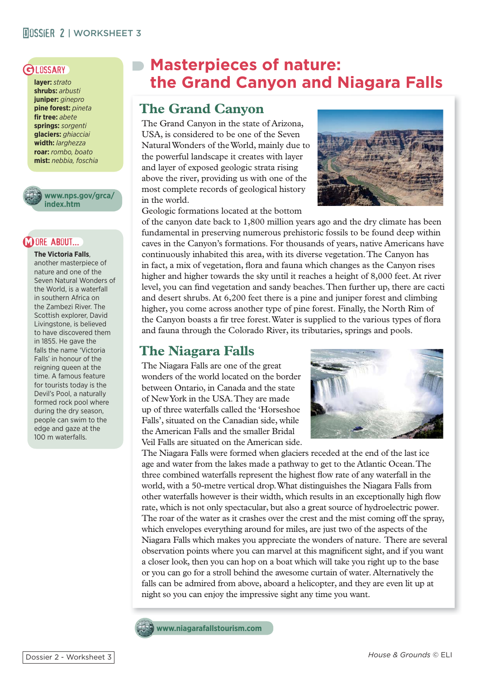## **MOSSIER 2 | WORKSHEET 3**

**layer:** *strato* **shrubs:** *arbusti* **juniper:** *ginepro* **pine forest:** *pineta* fir tree: *abete* **springs:** *sorgenti* **glaciers:** *ghiacciai* **width:** *larghezza* **roar:** *rombo, boato* **mist:** *nebbia, foschia*



**www.nps.gov/grca/ index.htm**

### ORE ABOUT...

**The Victoria Falls**, another masterpiece of nature and one of the Seven Natural Wonders of the World, is a waterfall in southern Africa on the Zambezi River. The Scottish explorer, David Livingstone, is believed to have discovered them in 1855. He gave the falls the name 'Victoria Falls' in honour of the reigning queen at the time. A famous feature for tourists today is the Devil's Pool, a naturally formed rock pool where during the dry season, people can swim to the edge and gaze at the 100 m waterfalls.

# **GLOSSARY** Masterpieces of nature:  **the Grand Canyon and Niagara Falls**

## **The Grand Canyon**

The Grand Canyon in the state of Arizona, USA, is considered to be one of the Seven Natural Wonders of the World, mainly due to the powerful landscape it creates with layer and layer of exposed geologic strata rising above the river, providing us with one of the most complete records of geological history in the world.

Geologic formations located at the bottom



of the canyon date back to 1,800 million years ago and the dry climate has been fundamental in preserving numerous prehistoric fossils to be found deep within caves in the Canyon's formations. For thousands of years, native Americans have continuously inhabited this area, with its diverse vegetation. The Canyon has in fact, a mix of vegetation, flora and fauna which changes as the Canyon rises higher and higher towards the sky until it reaches a height of 8,000 feet. At river level, you can find vegetation and sandy beaches. Then further up, there are cacti and desert shrubs. At 6,200 feet there is a pine and juniper forest and climbing higher, you come across another type of pine forest. Finally, the North Rim of the Canyon boasts a fir tree forest. Water is supplied to the various types of flora and fauna through the Colorado River, its tributaries, springs and pools.

## **The Niagara Falls**

The Niagara Falls are one of the great wonders of the world located on the border between Ontario, in Canada and the state of New York in the USA. They are made up of three waterfalls called the 'Horseshoe Falls', situated on the Canadian side, while the American Falls and the smaller Bridal Veil Falls are situated on the American side.



The Niagara Falls were formed when glaciers receded at the end of the last ice age and water from the lakes made a pathway to get to the Atlantic Ocean. The three combined waterfalls represent the highest flow rate of any waterfall in the world, with a 50-metre vertical drop. What distinguishes the Niagara Falls from other waterfalls however is their width, which results in an exceptionally high flow rate, which is not only spectacular, but also a great source of hydroelectric power. The roar of the water as it crashes over the crest and the mist coming off the spray, which envelopes everything around for miles, are just two of the aspects of the Niagara Falls which makes you appreciate the wonders of nature. There are several observation points where you can marvel at this magnificent sight, and if you want a closer look, then you can hop on a boat which will take you right up to the base or you can go for a stroll behind the awesome curtain of water. Alternatively the falls can be admired from above, aboard a helicopter, and they are even lit up at night so you can enjoy the impressive sight any time you want.

**www.niagarafallstourism.com**